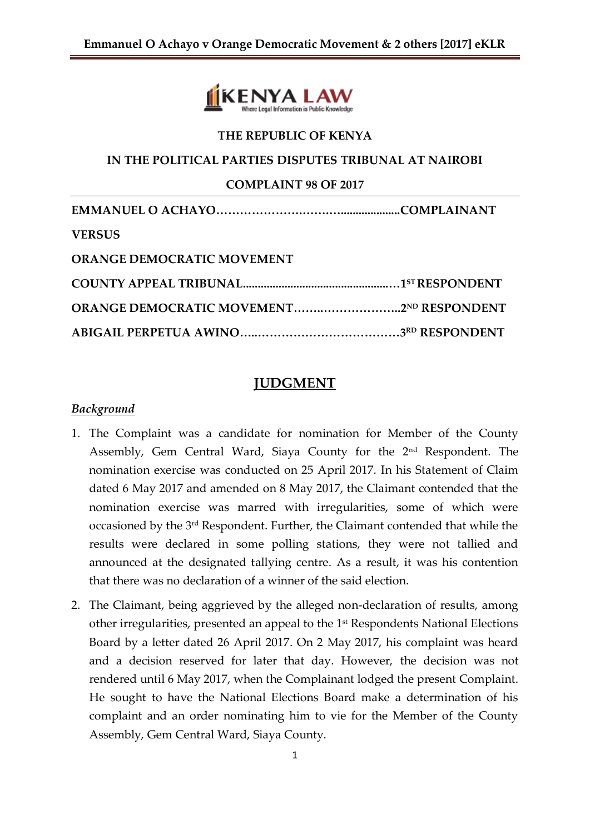

# **THE REPUBLIC OF KENYA IN THE POLITICAL PARTIES DISPUTES TRIBUNAL AT NAIROBI COMPLAINT 98 OF 2017 EMMANUEL O ACHAYO………………….…….…....................COMPLAINANT VERSUS ORANGE DEMOCRATIC MOVEMENT COUNTY APPEAL TRIBUNAL.................................................…1ST RESPONDENT ORANGE DEMOCRATIC MOVEMENT……..………………..2ND RESPONDENT ABIGAIL PERPETUA AWINO…..………………………………3 RD RESPONDENT**

#### **JUDGMENT**

#### *Background*

- 1. The Complaint was a candidate for nomination for Member of the County Assembly, Gem Central Ward, Siaya County for the 2nd Respondent. The nomination exercise was conducted on 25 April 2017. In his Statement of Claim dated 6 May 2017 and amended on 8 May 2017, the Claimant contended that the nomination exercise was marred with irregularities, some of which were occasioned by the 3rd Respondent. Further, the Claimant contended that while the results were declared in some polling stations, they were not tallied and announced at the designated tallying centre. As a result, it was his contention that there was no declaration of a winner of the said election.
- 2. The Claimant, being aggrieved by the alleged non-declaration of results, among other irregularities, presented an appeal to the 1st Respondents National Elections Board by a letter dated 26 April 2017. On 2 May 2017, his complaint was heard and a decision reserved for later that day. However, the decision was not rendered until 6 May 2017, when the Complainant lodged the present Complaint. He sought to have the National Elections Board make a determination of his complaint and an order nominating him to vie for the Member of the County Assembly, Gem Central Ward, Siaya County.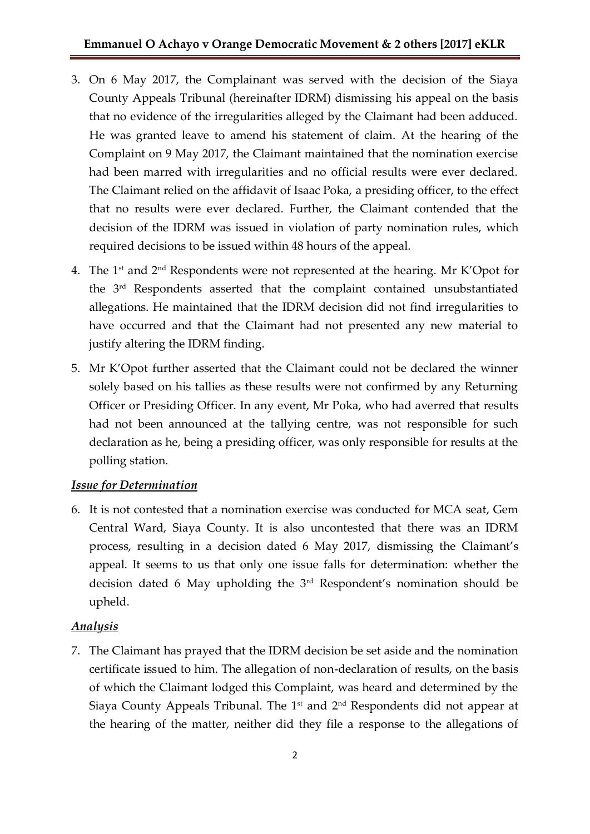- 3. On 6 May 2017, the Complainant was served with the decision of the Siaya County Appeals Tribunal (hereinafter IDRM) dismissing his appeal on the basis that no evidence of the irregularities alleged by the Claimant had been adduced. He was granted leave to amend his statement of claim. At the hearing of the Complaint on 9 May 2017, the Claimant maintained that the nomination exercise had been marred with irregularities and no official results were ever declared. The Claimant relied on the affidavit of Isaac Poka, a presiding officer, to the effect that no results were ever declared. Further, the Claimant contended that the decision of the IDRM was issued in violation of party nomination rules, which required decisions to be issued within 48 hours of the appeal.
- 4. The 1st and 2nd Respondents were not represented at the hearing. Mr K'Opot for the 3rd Respondents asserted that the complaint contained unsubstantiated allegations. He maintained that the IDRM decision did not find irregularities to have occurred and that the Claimant had not presented any new material to justify altering the IDRM finding.
- 5. Mr K'Opot further asserted that the Claimant could not be declared the winner solely based on his tallies as these results were not confirmed by any Returning Officer or Presiding Officer. In any event, Mr Poka, who had averred that results had not been announced at the tallying centre, was not responsible for such declaration as he, being a presiding officer, was only responsible for results at the polling station.

# *Issue for Determination*

6. It is not contested that a nomination exercise was conducted for MCA seat, Gem Central Ward, Siaya County. It is also uncontested that there was an IDRM process, resulting in a decision dated 6 May 2017, dismissing the Claimant's appeal. It seems to us that only one issue falls for determination: whether the decision dated 6 May upholding the 3rd Respondent's nomination should be upheld.

# *Analysis*

7. The Claimant has prayed that the IDRM decision be set aside and the nomination certificate issued to him. The allegation of non-declaration of results, on the basis of which the Claimant lodged this Complaint, was heard and determined by the Siaya County Appeals Tribunal. The  $1<sup>st</sup>$  and  $2<sup>nd</sup>$  Respondents did not appear at the hearing of the matter, neither did they file a response to the allegations of